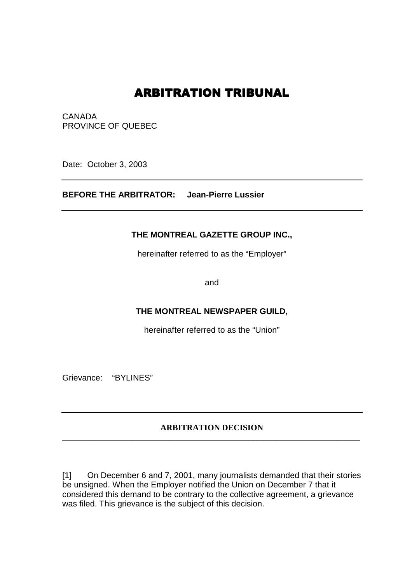# **ARBITRATION TRIBUNAL**

CANADA PROVINCE OF QUEBEC

Date: October 3, 2003

**BEFORE THE ARBITRATOR: Jean-Pierre Lussier** 

### **THE MONTREAL GAZETTE GROUP INC.,**

hereinafter referred to as the "Employer"

and

## **THE MONTREAL NEWSPAPER GUILD,**

hereinafter referred to as the "Union"

Grievance: "BYLINES"

#### **ARBITRATION DECISION \_\_\_\_\_\_\_\_\_\_\_\_\_\_\_\_\_\_\_\_\_\_\_\_\_\_\_\_\_\_\_\_\_\_\_\_\_\_\_\_\_\_\_\_\_\_\_\_\_\_\_\_\_\_\_\_\_\_\_\_\_\_\_\_**

[1] On December 6 and 7, 2001, many journalists demanded that their stories be unsigned. When the Employer notified the Union on December 7 that it considered this demand to be contrary to the collective agreement, a grievance was filed. This grievance is the subject of this decision.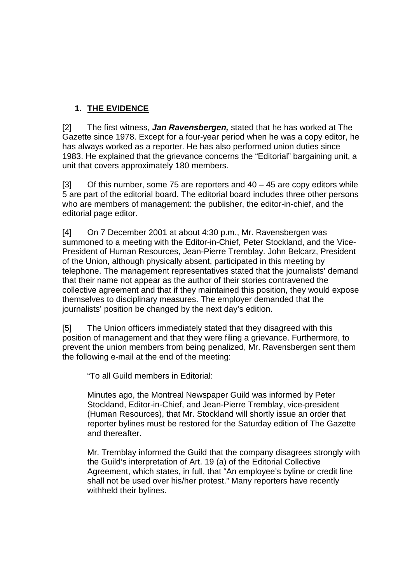# **1. THE EVIDENCE**

[2] The first witness, **Jan Ravensbergen,** stated that he has worked at The Gazette since 1978. Except for a four-year period when he was a copy editor, he has always worked as a reporter. He has also performed union duties since 1983. He explained that the grievance concerns the "Editorial" bargaining unit, a unit that covers approximately 180 members.

 $[3]$  Of this number, some 75 are reporters and  $40 - 45$  are copy editors while 5 are part of the editorial board. The editorial board includes three other persons who are members of management: the publisher, the editor-in-chief, and the editorial page editor.

[4] On 7 December 2001 at about 4:30 p.m., Mr. Ravensbergen was summoned to a meeting with the Editor-in-Chief, Peter Stockland, and the Vice-President of Human Resources, Jean-Pierre Tremblay. John Belcarz, President of the Union, although physically absent, participated in this meeting by telephone. The management representatives stated that the journalists' demand that their name not appear as the author of their stories contravened the collective agreement and that if they maintained this position, they would expose themselves to disciplinary measures. The employer demanded that the journalists' position be changed by the next day's edition.

[5] The Union officers immediately stated that they disagreed with this position of management and that they were filing a grievance. Furthermore, to prevent the union members from being penalized, Mr. Ravensbergen sent them the following e-mail at the end of the meeting:

"To all Guild members in Editorial:

Minutes ago, the Montreal Newspaper Guild was informed by Peter Stockland, Editor-in-Chief, and Jean-Pierre Tremblay, vice-president (Human Resources), that Mr. Stockland will shortly issue an order that reporter bylines must be restored for the Saturday edition of The Gazette and thereafter.

Mr. Tremblay informed the Guild that the company disagrees strongly with the Guild's interpretation of Art. 19 (a) of the Editorial Collective Agreement, which states, in full, that "An employee's byline or credit line shall not be used over his/her protest." Many reporters have recently withheld their bylines.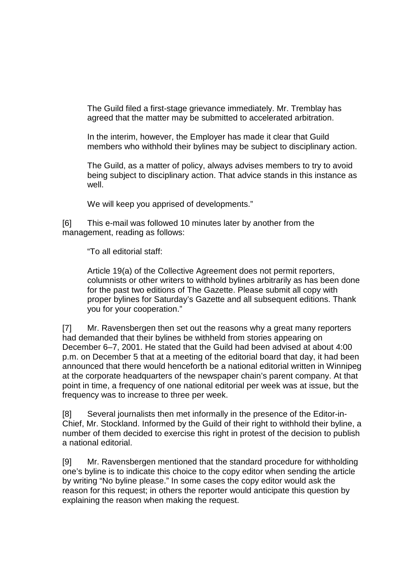The Guild filed a first-stage grievance immediately. Mr. Tremblay has agreed that the matter may be submitted to accelerated arbitration.

In the interim, however, the Employer has made it clear that Guild members who withhold their bylines may be subject to disciplinary action.

The Guild, as a matter of policy, always advises members to try to avoid being subject to disciplinary action. That advice stands in this instance as well.

We will keep you apprised of developments."

[6] This e-mail was followed 10 minutes later by another from the management, reading as follows:

"To all editorial staff:

Article 19(a) of the Collective Agreement does not permit reporters, columnists or other writers to withhold bylines arbitrarily as has been done for the past two editions of The Gazette. Please submit all copy with proper bylines for Saturday's Gazette and all subsequent editions. Thank you for your cooperation."

[7] Mr. Ravensbergen then set out the reasons why a great many reporters had demanded that their bylines be withheld from stories appearing on December 6–7, 2001. He stated that the Guild had been advised at about 4:00 p.m. on December 5 that at a meeting of the editorial board that day, it had been announced that there would henceforth be a national editorial written in Winnipeg at the corporate headquarters of the newspaper chain's parent company. At that point in time, a frequency of one national editorial per week was at issue, but the frequency was to increase to three per week.

[8] Several journalists then met informally in the presence of the Editor-in-Chief, Mr. Stockland. Informed by the Guild of their right to withhold their byline, a number of them decided to exercise this right in protest of the decision to publish a national editorial.

[9] Mr. Ravensbergen mentioned that the standard procedure for withholding one's byline is to indicate this choice to the copy editor when sending the article by writing "No byline please." In some cases the copy editor would ask the reason for this request; in others the reporter would anticipate this question by explaining the reason when making the request.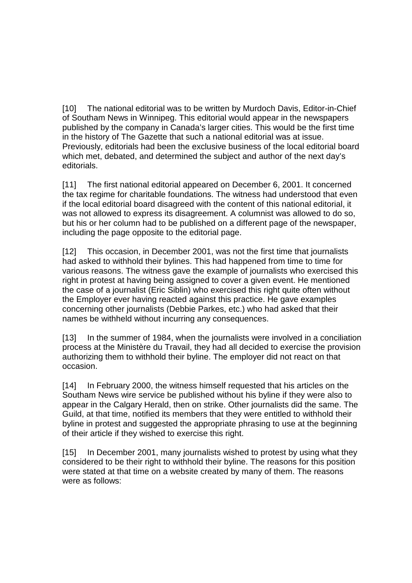[10] The national editorial was to be written by Murdoch Davis, Editor-in-Chief of Southam News in Winnipeg. This editorial would appear in the newspapers published by the company in Canada's larger cities. This would be the first time in the history of The Gazette that such a national editorial was at issue. Previously, editorials had been the exclusive business of the local editorial board which met, debated, and determined the subject and author of the next day's editorials.

[11] The first national editorial appeared on December 6, 2001. It concerned the tax regime for charitable foundations. The witness had understood that even if the local editorial board disagreed with the content of this national editorial, it was not allowed to express its disagreement. A columnist was allowed to do so, but his or her column had to be published on a different page of the newspaper, including the page opposite to the editorial page.

[12] This occasion, in December 2001, was not the first time that journalists had asked to withhold their bylines. This had happened from time to time for various reasons. The witness gave the example of journalists who exercised this right in protest at having being assigned to cover a given event. He mentioned the case of a journalist (Eric Siblin) who exercised this right quite often without the Employer ever having reacted against this practice. He gave examples concerning other journalists (Debbie Parkes, etc.) who had asked that their names be withheld without incurring any consequences.

[13] In the summer of 1984, when the journalists were involved in a conciliation process at the Ministère du Travail, they had all decided to exercise the provision authorizing them to withhold their byline. The employer did not react on that occasion.

[14] In February 2000, the witness himself requested that his articles on the Southam News wire service be published without his byline if they were also to appear in the Calgary Herald, then on strike. Other journalists did the same. The Guild, at that time, notified its members that they were entitled to withhold their byline in protest and suggested the appropriate phrasing to use at the beginning of their article if they wished to exercise this right.

[15] In December 2001, many journalists wished to protest by using what they considered to be their right to withhold their byline. The reasons for this position were stated at that time on a website created by many of them. The reasons were as follows: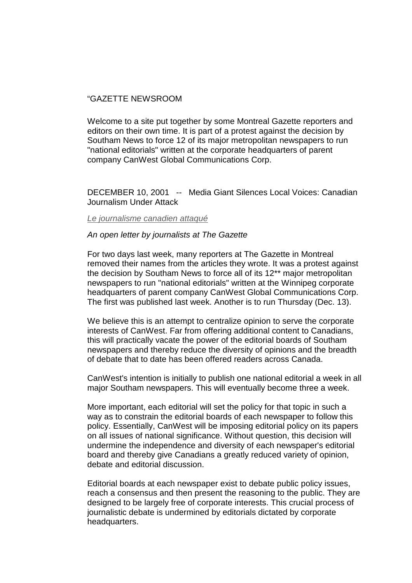#### "GAZETTE NEWSROOM

Welcome to a site put together by some Montreal Gazette reporters and editors on their own time. It is part of a protest against the decision by Southam News to force 12 of its major metropolitan newspapers to run "national editorials" written at the corporate headquarters of parent company CanWest Global Communications Corp.

DECEMBER 10, 2001 -- Media Giant Silences Local Voices: Canadian Journalism Under Attack

#### Le journalisme canadien attaqué

#### An open letter by journalists at The Gazette

For two days last week, many reporters at The Gazette in Montreal removed their names from the articles they wrote. It was a protest against the decision by Southam News to force all of its 12\*\* major metropolitan newspapers to run "national editorials" written at the Winnipeg corporate headquarters of parent company CanWest Global Communications Corp. The first was published last week. Another is to run Thursday (Dec. 13).

We believe this is an attempt to centralize opinion to serve the corporate interests of CanWest. Far from offering additional content to Canadians, this will practically vacate the power of the editorial boards of Southam newspapers and thereby reduce the diversity of opinions and the breadth of debate that to date has been offered readers across Canada.

CanWest's intention is initially to publish one national editorial a week in all major Southam newspapers. This will eventually become three a week.

More important, each editorial will set the policy for that topic in such a way as to constrain the editorial boards of each newspaper to follow this policy. Essentially, CanWest will be imposing editorial policy on its papers on all issues of national significance. Without question, this decision will undermine the independence and diversity of each newspaper's editorial board and thereby give Canadians a greatly reduced variety of opinion, debate and editorial discussion.

Editorial boards at each newspaper exist to debate public policy issues, reach a consensus and then present the reasoning to the public. They are designed to be largely free of corporate interests. This crucial process of journalistic debate is undermined by editorials dictated by corporate headquarters.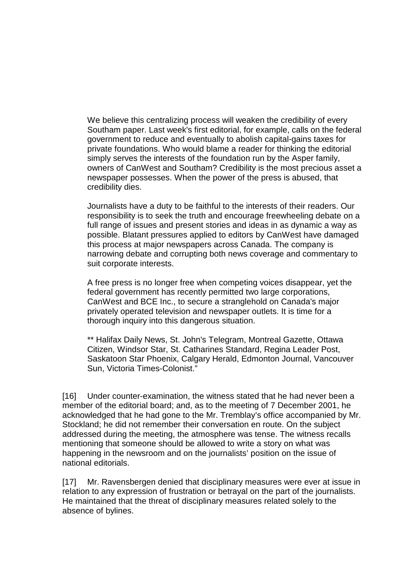We believe this centralizing process will weaken the credibility of every Southam paper. Last week's first editorial, for example, calls on the federal government to reduce and eventually to abolish capital-gains taxes for private foundations. Who would blame a reader for thinking the editorial simply serves the interests of the foundation run by the Asper family, owners of CanWest and Southam? Credibility is the most precious asset a newspaper possesses. When the power of the press is abused, that credibility dies.

Journalists have a duty to be faithful to the interests of their readers. Our responsibility is to seek the truth and encourage freewheeling debate on a full range of issues and present stories and ideas in as dynamic a way as possible. Blatant pressures applied to editors by CanWest have damaged this process at major newspapers across Canada. The company is narrowing debate and corrupting both news coverage and commentary to suit corporate interests.

A free press is no longer free when competing voices disappear, yet the federal government has recently permitted two large corporations, CanWest and BCE Inc., to secure a stranglehold on Canada's major privately operated television and newspaper outlets. It is time for a thorough inquiry into this dangerous situation.

\*\* Halifax Daily News, St. John's Telegram, Montreal Gazette, Ottawa Citizen, Windsor Star, St. Catharines Standard, Regina Leader Post, Saskatoon Star Phoenix, Calgary Herald, Edmonton Journal, Vancouver Sun, Victoria Times-Colonist."

[16] Under counter-examination, the witness stated that he had never been a member of the editorial board; and, as to the meeting of 7 December 2001, he acknowledged that he had gone to the Mr. Tremblay's office accompanied by Mr. Stockland; he did not remember their conversation en route. On the subject addressed during the meeting, the atmosphere was tense. The witness recalls mentioning that someone should be allowed to write a story on what was happening in the newsroom and on the journalists' position on the issue of national editorials.

[17] Mr. Ravensbergen denied that disciplinary measures were ever at issue in relation to any expression of frustration or betrayal on the part of the journalists. He maintained that the threat of disciplinary measures related solely to the absence of bylines.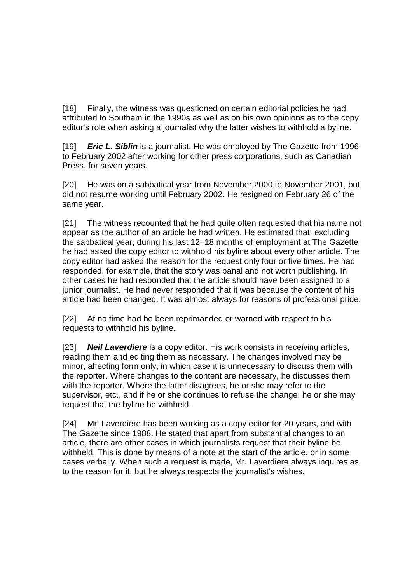[18] Finally, the witness was questioned on certain editorial policies he had attributed to Southam in the 1990s as well as on his own opinions as to the copy editor's role when asking a journalist why the latter wishes to withhold a byline.

[19] **Eric L. Siblin** is a journalist. He was employed by The Gazette from 1996 to February 2002 after working for other press corporations, such as Canadian Press, for seven years.

[20] He was on a sabbatical year from November 2000 to November 2001, but did not resume working until February 2002. He resigned on February 26 of the same year.

[21] The witness recounted that he had quite often requested that his name not appear as the author of an article he had written. He estimated that, excluding the sabbatical year, during his last 12–18 months of employment at The Gazette he had asked the copy editor to withhold his byline about every other article. The copy editor had asked the reason for the request only four or five times. He had responded, for example, that the story was banal and not worth publishing. In other cases he had responded that the article should have been assigned to a junior journalist. He had never responded that it was because the content of his article had been changed. It was almost always for reasons of professional pride.

[22] At no time had he been reprimanded or warned with respect to his requests to withhold his byline.

[23] **Neil Laverdiere** is a copy editor. His work consists in receiving articles, reading them and editing them as necessary. The changes involved may be minor, affecting form only, in which case it is unnecessary to discuss them with the reporter. Where changes to the content are necessary, he discusses them with the reporter. Where the latter disagrees, he or she may refer to the supervisor, etc., and if he or she continues to refuse the change, he or she may request that the byline be withheld.

[24] Mr. Laverdiere has been working as a copy editor for 20 years, and with The Gazette since 1988. He stated that apart from substantial changes to an article, there are other cases in which journalists request that their byline be withheld. This is done by means of a note at the start of the article, or in some cases verbally. When such a request is made, Mr. Laverdiere always inquires as to the reason for it, but he always respects the journalist's wishes.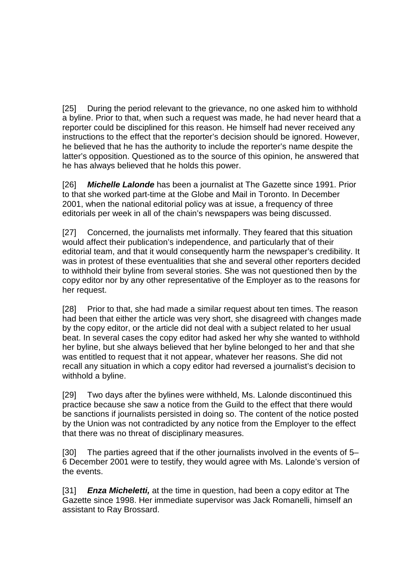[25] During the period relevant to the grievance, no one asked him to withhold a byline. Prior to that, when such a request was made, he had never heard that a reporter could be disciplined for this reason. He himself had never received any instructions to the effect that the reporter's decision should be ignored. However, he believed that he has the authority to include the reporter's name despite the latter's opposition. Questioned as to the source of this opinion, he answered that he has always believed that he holds this power.

[26] **Michelle Lalonde** has been a journalist at The Gazette since 1991. Prior to that she worked part-time at the Globe and Mail in Toronto. In December 2001, when the national editorial policy was at issue, a frequency of three editorials per week in all of the chain's newspapers was being discussed.

[27] Concerned, the journalists met informally. They feared that this situation would affect their publication's independence, and particularly that of their editorial team, and that it would consequently harm the newspaper's credibility. It was in protest of these eventualities that she and several other reporters decided to withhold their byline from several stories. She was not questioned then by the copy editor nor by any other representative of the Employer as to the reasons for her request.

[28] Prior to that, she had made a similar request about ten times. The reason had been that either the article was very short, she disagreed with changes made by the copy editor, or the article did not deal with a subject related to her usual beat. In several cases the copy editor had asked her why she wanted to withhold her byline, but she always believed that her byline belonged to her and that she was entitled to request that it not appear, whatever her reasons. She did not recall any situation in which a copy editor had reversed a journalist's decision to withhold a byline.

[29] Two days after the bylines were withheld, Ms. Lalonde discontinued this practice because she saw a notice from the Guild to the effect that there would be sanctions if journalists persisted in doing so. The content of the notice posted by the Union was not contradicted by any notice from the Employer to the effect that there was no threat of disciplinary measures.

[30] The parties agreed that if the other journalists involved in the events of 5– 6 December 2001 were to testify, they would agree with Ms. Lalonde's version of the events.

[31] **Enza Micheletti,** at the time in question, had been a copy editor at The Gazette since 1998. Her immediate supervisor was Jack Romanelli, himself an assistant to Ray Brossard.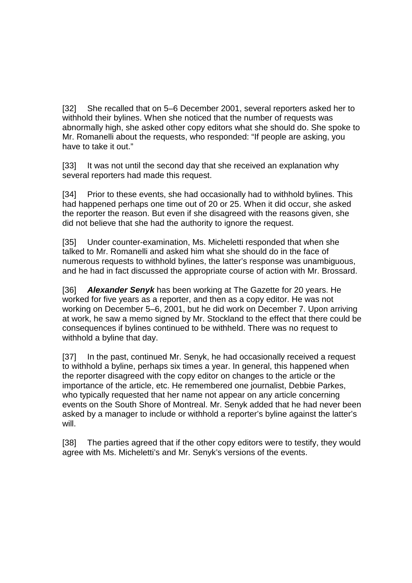[32] She recalled that on 5–6 December 2001, several reporters asked her to withhold their bylines. When she noticed that the number of requests was abnormally high, she asked other copy editors what she should do. She spoke to Mr. Romanelli about the requests, who responded: "If people are asking, you have to take it out."

[33] It was not until the second day that she received an explanation why several reporters had made this request.

[34] Prior to these events, she had occasionally had to withhold bylines. This had happened perhaps one time out of 20 or 25. When it did occur, she asked the reporter the reason. But even if she disagreed with the reasons given, she did not believe that she had the authority to ignore the request.

[35] Under counter-examination, Ms. Micheletti responded that when she talked to Mr. Romanelli and asked him what she should do in the face of numerous requests to withhold bylines, the latter's response was unambiguous, and he had in fact discussed the appropriate course of action with Mr. Brossard.

[36] **Alexander Senyk** has been working at The Gazette for 20 years. He worked for five years as a reporter, and then as a copy editor. He was not working on December 5–6, 2001, but he did work on December 7. Upon arriving at work, he saw a memo signed by Mr. Stockland to the effect that there could be consequences if bylines continued to be withheld. There was no request to withhold a byline that day.

[37] In the past, continued Mr. Senyk, he had occasionally received a request to withhold a byline, perhaps six times a year. In general, this happened when the reporter disagreed with the copy editor on changes to the article or the importance of the article, etc. He remembered one journalist, Debbie Parkes, who typically requested that her name not appear on any article concerning events on the South Shore of Montreal. Mr. Senyk added that he had never been asked by a manager to include or withhold a reporter's byline against the latter's will.

[38] The parties agreed that if the other copy editors were to testify, they would agree with Ms. Micheletti's and Mr. Senyk's versions of the events.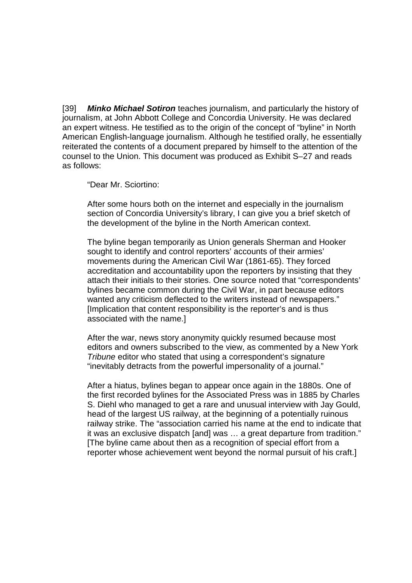[39] **Minko Michael Sotiron** teaches journalism, and particularly the history of journalism, at John Abbott College and Concordia University. He was declared an expert witness. He testified as to the origin of the concept of "byline" in North American English-language journalism. Although he testified orally, he essentially reiterated the contents of a document prepared by himself to the attention of the counsel to the Union. This document was produced as Exhibit S–27 and reads as follows:

"Dear Mr. Sciortino:

After some hours both on the internet and especially in the journalism section of Concordia University's library, I can give you a brief sketch of the development of the byline in the North American context.

The byline began temporarily as Union generals Sherman and Hooker sought to identify and control reporters' accounts of their armies' movements during the American Civil War (1861-65). They forced accreditation and accountability upon the reporters by insisting that they attach their initials to their stories. One source noted that "correspondents' bylines became common during the Civil War, in part because editors wanted any criticism deflected to the writers instead of newspapers." [Implication that content responsibility is the reporter's and is thus associated with the name.]

After the war, news story anonymity quickly resumed because most editors and owners subscribed to the view, as commented by a New York Tribune editor who stated that using a correspondent's signature "inevitably detracts from the powerful impersonality of a journal."

After a hiatus, bylines began to appear once again in the 1880s. One of the first recorded bylines for the Associated Press was in 1885 by Charles S. Diehl who managed to get a rare and unusual interview with Jay Gould, head of the largest US railway, at the beginning of a potentially ruinous railway strike. The "association carried his name at the end to indicate that it was an exclusive dispatch [and] was … a great departure from tradition." [The byline came about then as a recognition of special effort from a reporter whose achievement went beyond the normal pursuit of his craft.]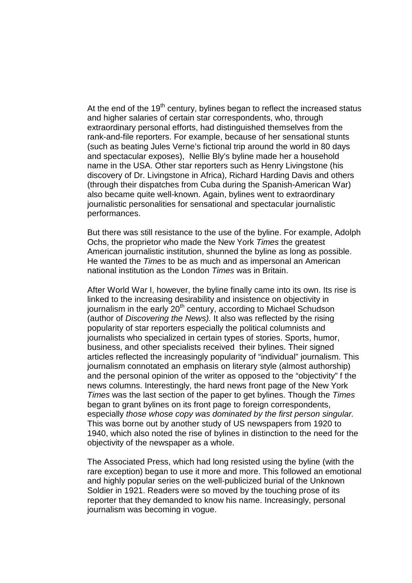At the end of the  $19<sup>th</sup>$  century, bylines began to reflect the increased status and higher salaries of certain star correspondents, who, through extraordinary personal efforts, had distinguished themselves from the rank-and-file reporters. For example, because of her sensational stunts (such as beating Jules Verne's fictional trip around the world in 80 days and spectacular exposes), Nellie Bly's byline made her a household name in the USA. Other star reporters such as Henry Livingstone (his discovery of Dr. Livingstone in Africa), Richard Harding Davis and others (through their dispatches from Cuba during the Spanish-American War) also became quite well-known. Again, bylines went to extraordinary journalistic personalities for sensational and spectacular journalistic performances.

But there was still resistance to the use of the byline. For example, Adolph Ochs, the proprietor who made the New York Times the greatest American journalistic institution, shunned the byline as long as possible. He wanted the Times to be as much and as impersonal an American national institution as the London Times was in Britain.

After World War I, however, the byline finally came into its own. Its rise is linked to the increasing desirability and insistence on objectivity in journalism in the early 20<sup>th</sup> century, according to Michael Schudson (author of Discovering the News). It also was reflected by the rising popularity of star reporters especially the political columnists and journalists who specialized in certain types of stories. Sports, humor, business, and other specialists received their bylines. Their signed articles reflected the increasingly popularity of "individual" journalism. This journalism connotated an emphasis on literary style (almost authorship) and the personal opinion of the writer as opposed to the "objectivity" f the news columns. Interestingly, the hard news front page of the New York Times was the last section of the paper to get bylines. Though the Times began to grant bylines on its front page to foreign correspondents, especially those whose copy was dominated by the first person singular. This was borne out by another study of US newspapers from 1920 to 1940, which also noted the rise of bylines in distinction to the need for the objectivity of the newspaper as a whole.

The Associated Press, which had long resisted using the byline (with the rare exception) began to use it more and more. This followed an emotional and highly popular series on the well-publicized burial of the Unknown Soldier in 1921. Readers were so moved by the touching prose of its reporter that they demanded to know his name. Increasingly, personal journalism was becoming in vogue.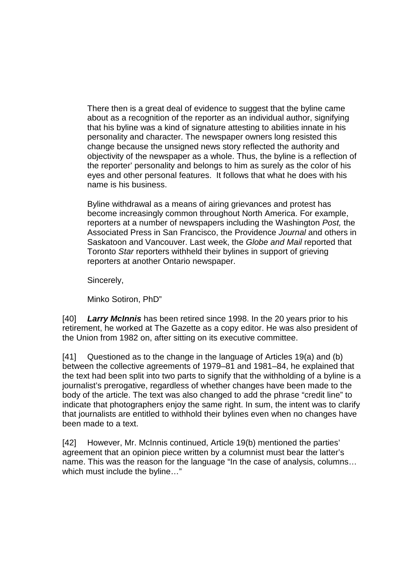There then is a great deal of evidence to suggest that the byline came about as a recognition of the reporter as an individual author, signifying that his byline was a kind of signature attesting to abilities innate in his personality and character. The newspaper owners long resisted this change because the unsigned news story reflected the authority and objectivity of the newspaper as a whole. Thus, the byline is a reflection of the reporter' personality and belongs to him as surely as the color of his eyes and other personal features. It follows that what he does with his name is his business.

Byline withdrawal as a means of airing grievances and protest has become increasingly common throughout North America. For example, reporters at a number of newspapers including the Washington Post, the Associated Press in San Francisco, the Providence Journal and others in Saskatoon and Vancouver. Last week, the Globe and Mail reported that Toronto Star reporters withheld their bylines in support of grieving reporters at another Ontario newspaper.

Sincerely,

Minko Sotiron, PhD"

[40] **Larry McInnis** has been retired since 1998. In the 20 years prior to his retirement, he worked at The Gazette as a copy editor. He was also president of the Union from 1982 on, after sitting on its executive committee.

[41] Questioned as to the change in the language of Articles 19(a) and (b) between the collective agreements of 1979–81 and 1981–84, he explained that the text had been split into two parts to signify that the withholding of a byline is a journalist's prerogative, regardless of whether changes have been made to the body of the article. The text was also changed to add the phrase "credit line" to indicate that photographers enjoy the same right. In sum, the intent was to clarify that journalists are entitled to withhold their bylines even when no changes have been made to a text.

[42] However, Mr. McInnis continued, Article 19(b) mentioned the parties' agreement that an opinion piece written by a columnist must bear the latter's name. This was the reason for the language "In the case of analysis, columns… which must include the byline…"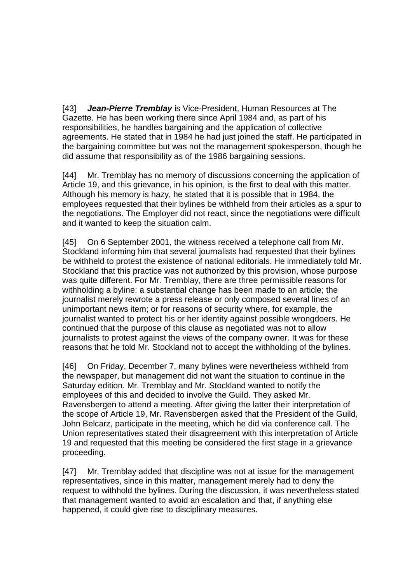[43] **Jean-Pierre Tremblay** is Vice-President, Human Resources at The Gazette. He has been working there since April 1984 and, as part of his responsibilities, he handles bargaining and the application of collective agreements. He stated that in 1984 he had just joined the staff. He participated in the bargaining committee but was not the management spokesperson, though he did assume that responsibility as of the 1986 bargaining sessions.

[44] Mr. Tremblay has no memory of discussions concerning the application of Article 19, and this grievance, in his opinion, is the first to deal with this matter. Although his memory is hazy, he stated that it is possible that in 1984, the employees requested that their bylines be withheld from their articles as a spur to the negotiations. The Employer did not react, since the negotiations were difficult and it wanted to keep the situation calm.

[45] On 6 September 2001, the witness received a telephone call from Mr. Stockland informing him that several journalists had requested that their bylines be withheld to protest the existence of national editorials. He immediately told Mr. Stockland that this practice was not authorized by this provision, whose purpose was quite different. For Mr. Tremblay, there are three permissible reasons for withholding a byline: a substantial change has been made to an article; the journalist merely rewrote a press release or only composed several lines of an unimportant news item; or for reasons of security where, for example, the journalist wanted to protect his or her identity against possible wrongdoers. He continued that the purpose of this clause as negotiated was not to allow journalists to protest against the views of the company owner. It was for these reasons that he told Mr. Stockland not to accept the withholding of the bylines.

[46] On Friday, December 7, many bylines were nevertheless withheld from the newspaper, but management did not want the situation to continue in the Saturday edition. Mr. Tremblay and Mr. Stockland wanted to notify the employees of this and decided to involve the Guild. They asked Mr. Ravensbergen to attend a meeting. After giving the latter their interpretation of the scope of Article 19, Mr. Ravensbergen asked that the President of the Guild, John Belcarz, participate in the meeting, which he did via conference call. The Union representatives stated their disagreement with this interpretation of Article 19 and requested that this meeting be considered the first stage in a grievance proceeding.

[47] Mr. Tremblay added that discipline was not at issue for the management representatives, since in this matter, management merely had to deny the request to withhold the bylines. During the discussion, it was nevertheless stated that management wanted to avoid an escalation and that, if anything else happened, it could give rise to disciplinary measures.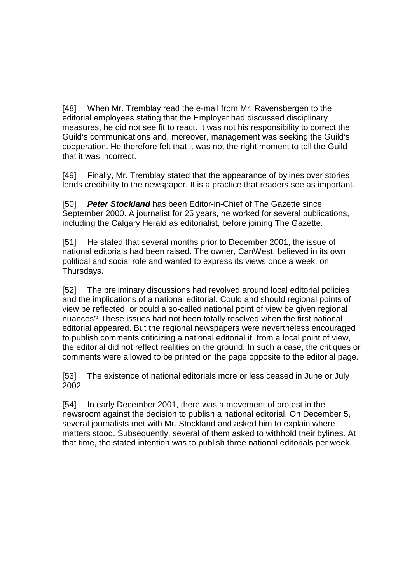[48] When Mr. Tremblay read the e-mail from Mr. Ravensbergen to the editorial employees stating that the Employer had discussed disciplinary measures, he did not see fit to react. It was not his responsibility to correct the Guild's communications and, moreover, management was seeking the Guild's cooperation. He therefore felt that it was not the right moment to tell the Guild that it was incorrect.

[49] Finally, Mr. Tremblay stated that the appearance of bylines over stories lends credibility to the newspaper. It is a practice that readers see as important.

[50] **Peter Stockland** has been Editor-in-Chief of The Gazette since September 2000. A journalist for 25 years, he worked for several publications, including the Calgary Herald as editorialist, before joining The Gazette.

[51] He stated that several months prior to December 2001, the issue of national editorials had been raised. The owner, CanWest, believed in its own political and social role and wanted to express its views once a week, on Thursdays.

[52] The preliminary discussions had revolved around local editorial policies and the implications of a national editorial. Could and should regional points of view be reflected, or could a so-called national point of view be given regional nuances? These issues had not been totally resolved when the first national editorial appeared. But the regional newspapers were nevertheless encouraged to publish comments criticizing a national editorial if, from a local point of view, the editorial did not reflect realities on the ground. In such a case, the critiques or comments were allowed to be printed on the page opposite to the editorial page.

[53] The existence of national editorials more or less ceased in June or July 2002.

[54] In early December 2001, there was a movement of protest in the newsroom against the decision to publish a national editorial. On December 5, several journalists met with Mr. Stockland and asked him to explain where matters stood. Subsequently, several of them asked to withhold their bylines. At that time, the stated intention was to publish three national editorials per week.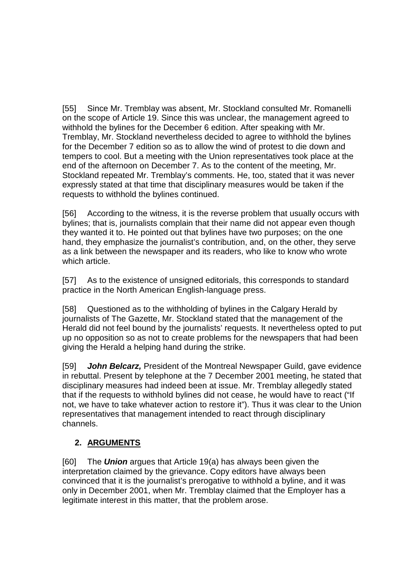[55] Since Mr. Tremblay was absent, Mr. Stockland consulted Mr. Romanelli on the scope of Article 19. Since this was unclear, the management agreed to withhold the bylines for the December 6 edition. After speaking with Mr. Tremblay, Mr. Stockland nevertheless decided to agree to withhold the bylines for the December 7 edition so as to allow the wind of protest to die down and tempers to cool. But a meeting with the Union representatives took place at the end of the afternoon on December 7. As to the content of the meeting, Mr. Stockland repeated Mr. Tremblay's comments. He, too, stated that it was never expressly stated at that time that disciplinary measures would be taken if the requests to withhold the bylines continued.

[56] According to the witness, it is the reverse problem that usually occurs with bylines; that is, journalists complain that their name did not appear even though they wanted it to. He pointed out that bylines have two purposes; on the one hand, they emphasize the journalist's contribution, and, on the other, they serve as a link between the newspaper and its readers, who like to know who wrote which article.

[57] As to the existence of unsigned editorials, this corresponds to standard practice in the North American English-language press.

[58] Questioned as to the withholding of bylines in the Calgary Herald by journalists of The Gazette, Mr. Stockland stated that the management of the Herald did not feel bound by the journalists' requests. It nevertheless opted to put up no opposition so as not to create problems for the newspapers that had been giving the Herald a helping hand during the strike.

[59] **John Belcarz,** President of the Montreal Newspaper Guild, gave evidence in rebuttal. Present by telephone at the 7 December 2001 meeting, he stated that disciplinary measures had indeed been at issue. Mr. Tremblay allegedly stated that if the requests to withhold bylines did not cease, he would have to react ("If not, we have to take whatever action to restore it"). Thus it was clear to the Union representatives that management intended to react through disciplinary channels.

# **2. ARGUMENTS**

[60] The **Union** argues that Article 19(a) has always been given the interpretation claimed by the grievance. Copy editors have always been convinced that it is the journalist's prerogative to withhold a byline, and it was only in December 2001, when Mr. Tremblay claimed that the Employer has a legitimate interest in this matter, that the problem arose.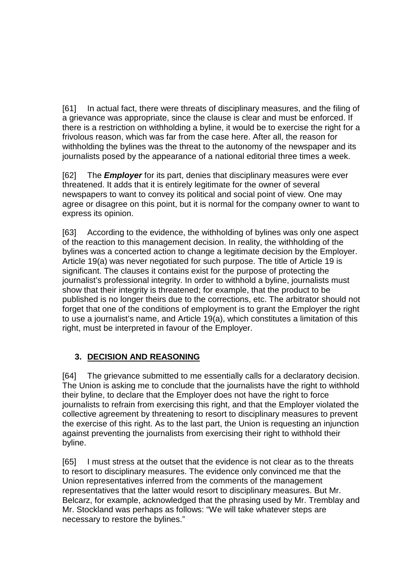[61] In actual fact, there were threats of disciplinary measures, and the filing of a grievance was appropriate, since the clause is clear and must be enforced. If there is a restriction on withholding a byline, it would be to exercise the right for a frivolous reason, which was far from the case here. After all, the reason for withholding the bylines was the threat to the autonomy of the newspaper and its journalists posed by the appearance of a national editorial three times a week.

[62] The **Employer** for its part, denies that disciplinary measures were ever threatened. It adds that it is entirely legitimate for the owner of several newspapers to want to convey its political and social point of view. One may agree or disagree on this point, but it is normal for the company owner to want to express its opinion.

[63] According to the evidence, the withholding of bylines was only one aspect of the reaction to this management decision. In reality, the withholding of the bylines was a concerted action to change a legitimate decision by the Employer. Article 19(a) was never negotiated for such purpose. The title of Article 19 is significant. The clauses it contains exist for the purpose of protecting the journalist's professional integrity. In order to withhold a byline, journalists must show that their integrity is threatened; for example, that the product to be published is no longer theirs due to the corrections, etc. The arbitrator should not forget that one of the conditions of employment is to grant the Employer the right to use a journalist's name, and Article 19(a), which constitutes a limitation of this right, must be interpreted in favour of the Employer.

# **3. DECISION AND REASONING**

[64] The grievance submitted to me essentially calls for a declaratory decision. The Union is asking me to conclude that the journalists have the right to withhold their byline, to declare that the Employer does not have the right to force journalists to refrain from exercising this right, and that the Employer violated the collective agreement by threatening to resort to disciplinary measures to prevent the exercise of this right. As to the last part, the Union is requesting an injunction against preventing the journalists from exercising their right to withhold their byline.

[65] I must stress at the outset that the evidence is not clear as to the threats to resort to disciplinary measures. The evidence only convinced me that the Union representatives inferred from the comments of the management representatives that the latter would resort to disciplinary measures. But Mr. Belcarz, for example, acknowledged that the phrasing used by Mr. Tremblay and Mr. Stockland was perhaps as follows: "We will take whatever steps are necessary to restore the bylines."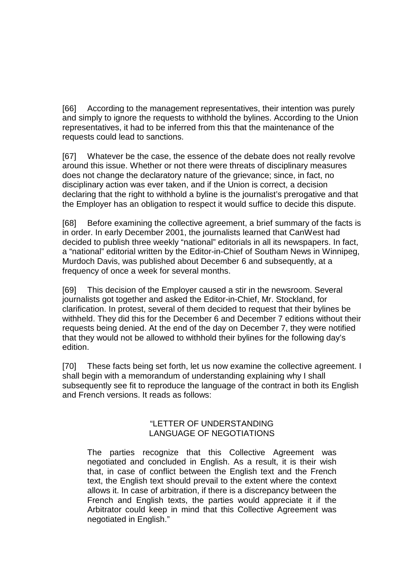[66] According to the management representatives, their intention was purely and simply to ignore the requests to withhold the bylines. According to the Union representatives, it had to be inferred from this that the maintenance of the requests could lead to sanctions.

[67] Whatever be the case, the essence of the debate does not really revolve around this issue. Whether or not there were threats of disciplinary measures does not change the declaratory nature of the grievance; since, in fact, no disciplinary action was ever taken, and if the Union is correct, a decision declaring that the right to withhold a byline is the journalist's prerogative and that the Employer has an obligation to respect it would suffice to decide this dispute.

[68] Before examining the collective agreement, a brief summary of the facts is in order. In early December 2001, the journalists learned that CanWest had decided to publish three weekly "national" editorials in all its newspapers. In fact, a "national" editorial written by the Editor-in-Chief of Southam News in Winnipeg, Murdoch Davis, was published about December 6 and subsequently, at a frequency of once a week for several months.

[69] This decision of the Employer caused a stir in the newsroom. Several journalists got together and asked the Editor-in-Chief, Mr. Stockland, for clarification. In protest, several of them decided to request that their bylines be withheld. They did this for the December 6 and December 7 editions without their requests being denied. At the end of the day on December 7, they were notified that they would not be allowed to withhold their bylines for the following day's edition.

[70] These facts being set forth, let us now examine the collective agreement. I shall begin with a memorandum of understanding explaining why I shall subsequently see fit to reproduce the language of the contract in both its English and French versions. It reads as follows:

### "LETTER OF UNDERSTANDING LANGUAGE OF NEGOTIATIONS

The parties recognize that this Collective Agreement was negotiated and concluded in English. As a result, it is their wish that, in case of conflict between the English text and the French text, the English text should prevail to the extent where the context allows it. In case of arbitration, if there is a discrepancy between the French and English texts, the parties would appreciate it if the Arbitrator could keep in mind that this Collective Agreement was negotiated in English."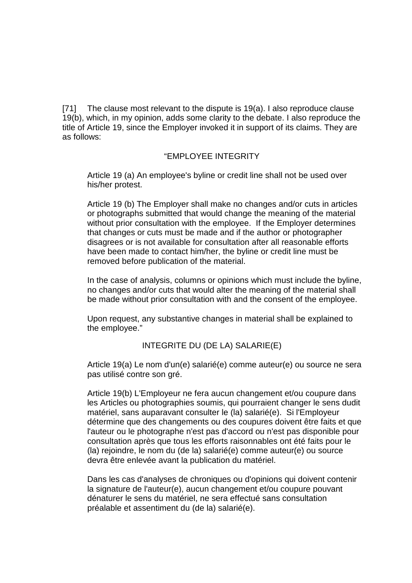[71] The clause most relevant to the dispute is 19(a). I also reproduce clause 19(b), which, in my opinion, adds some clarity to the debate. I also reproduce the title of Article 19, since the Employer invoked it in support of its claims. They are as follows:

### "EMPLOYEE INTEGRITY

Article 19 (a) An employee's byline or credit line shall not be used over his/her protest.

Article 19 (b) The Employer shall make no changes and/or cuts in articles or photographs submitted that would change the meaning of the material without prior consultation with the employee. If the Employer determines that changes or cuts must be made and if the author or photographer disagrees or is not available for consultation after all reasonable efforts have been made to contact him/her, the byline or credit line must be removed before publication of the material.

In the case of analysis, columns or opinions which must include the byline, no changes and/or cuts that would alter the meaning of the material shall be made without prior consultation with and the consent of the employee.

Upon request, any substantive changes in material shall be explained to the employee."

### INTEGRITE DU (DE LA) SALARIE(E)

Article 19(a) Le nom d'un(e) salarié(e) comme auteur(e) ou source ne sera pas utilisé contre son gré.

Article 19(b) L'Employeur ne fera aucun changement et/ou coupure dans les Articles ou photographies soumis, qui pourraient changer le sens dudit matériel, sans auparavant consulter le (la) salarié(e). Si l'Employeur détermine que des changements ou des coupures doivent être faits et que l'auteur ou le photographe n'est pas d'accord ou n'est pas disponible pour consultation après que tous les efforts raisonnables ont été faits pour le (la) rejoindre, le nom du (de la) salarié(e) comme auteur(e) ou source devra être enlevée avant la publication du matériel.

Dans les cas d'analyses de chroniques ou d'opinions qui doivent contenir la signature de l'auteur(e), aucun changement et/ou coupure pouvant dénaturer le sens du matériel, ne sera effectué sans consultation préalable et assentiment du (de la) salarié(e).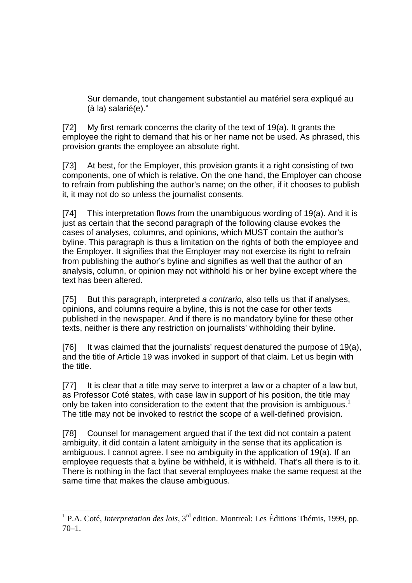Sur demande, tout changement substantiel au matériel sera expliqué au (à la) salarié(e)."

[72] My first remark concerns the clarity of the text of 19(a). It grants the employee the right to demand that his or her name not be used. As phrased, this provision grants the employee an absolute right.

[73] At best, for the Employer, this provision grants it a right consisting of two components, one of which is relative. On the one hand, the Employer can choose to refrain from publishing the author's name; on the other, if it chooses to publish it, it may not do so unless the journalist consents.

[74] This interpretation flows from the unambiguous wording of 19(a). And it is just as certain that the second paragraph of the following clause evokes the cases of analyses, columns, and opinions, which MUST contain the author's byline. This paragraph is thus a limitation on the rights of both the employee and the Employer. It signifies that the Employer may not exercise its right to refrain from publishing the author's byline and signifies as well that the author of an analysis, column, or opinion may not withhold his or her byline except where the text has been altered.

[75] But this paragraph, interpreted a contrario, also tells us that if analyses, opinions, and columns require a byline, this is not the case for other texts published in the newspaper. And if there is no mandatory byline for these other texts, neither is there any restriction on journalists' withholding their byline.

[76] It was claimed that the journalists' request denatured the purpose of 19(a), and the title of Article 19 was invoked in support of that claim. Let us begin with the title.

[77] It is clear that a title may serve to interpret a law or a chapter of a law but, as Professor Coté states, with case law in support of his position, the title may only be taken into consideration to the extent that the provision is ambiguous.<sup>1</sup> The title may not be invoked to restrict the scope of a well-defined provision.

[78] Counsel for management argued that if the text did not contain a patent ambiguity, it did contain a latent ambiguity in the sense that its application is ambiguous. I cannot agree. I see no ambiguity in the application of 19(a). If an employee requests that a byline be withheld, it is withheld. That's all there is to it. There is nothing in the fact that several employees make the same request at the same time that makes the clause ambiguous.

<sup>&</sup>lt;sup>1</sup> P.A. Coté, *Interpretation des lois*, 3<sup>rd</sup> edition. Montreal: Les Éditions Thémis, 1999, pp.  $70-1.$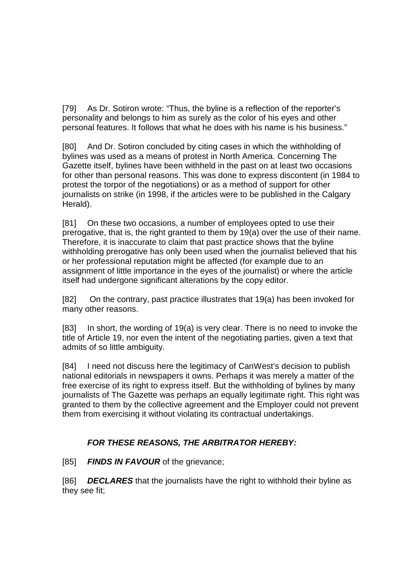[79] As Dr. Sotiron wrote: "Thus, the byline is a reflection of the reporter's personality and belongs to him as surely as the color of his eyes and other personal features. It follows that what he does with his name is his business."

[80] And Dr. Sotiron concluded by citing cases in which the withholding of bylines was used as a means of protest in North America. Concerning The Gazette itself, bylines have been withheld in the past on at least two occasions for other than personal reasons. This was done to express discontent (in 1984 to protest the torpor of the negotiations) or as a method of support for other journalists on strike (in 1998, if the articles were to be published in the Calgary Herald).

[81] On these two occasions, a number of employees opted to use their prerogative, that is, the right granted to them by 19(a) over the use of their name. Therefore, it is inaccurate to claim that past practice shows that the byline withholding prerogative has only been used when the journalist believed that his or her professional reputation might be affected (for example due to an assignment of little importance in the eyes of the journalist) or where the article itself had undergone significant alterations by the copy editor.

[82] On the contrary, past practice illustrates that 19(a) has been invoked for many other reasons.

[83] In short, the wording of 19(a) is very clear. There is no need to invoke the title of Article 19, nor even the intent of the negotiating parties, given a text that admits of so little ambiguity.

[84] I need not discuss here the legitimacy of CanWest's decision to publish national editorials in newspapers it owns. Perhaps it was merely a matter of the free exercise of its right to express itself. But the withholding of bylines by many journalists of The Gazette was perhaps an equally legitimate right. This right was granted to them by the collective agreement and the Employer could not prevent them from exercising it without violating its contractual undertakings.

# **FOR THESE REASONS, THE ARBITRATOR HEREBY:**

[85] **FINDS IN FAVOUR** of the grievance;

[86] **DECLARES** that the journalists have the right to withhold their byline as they see fit;